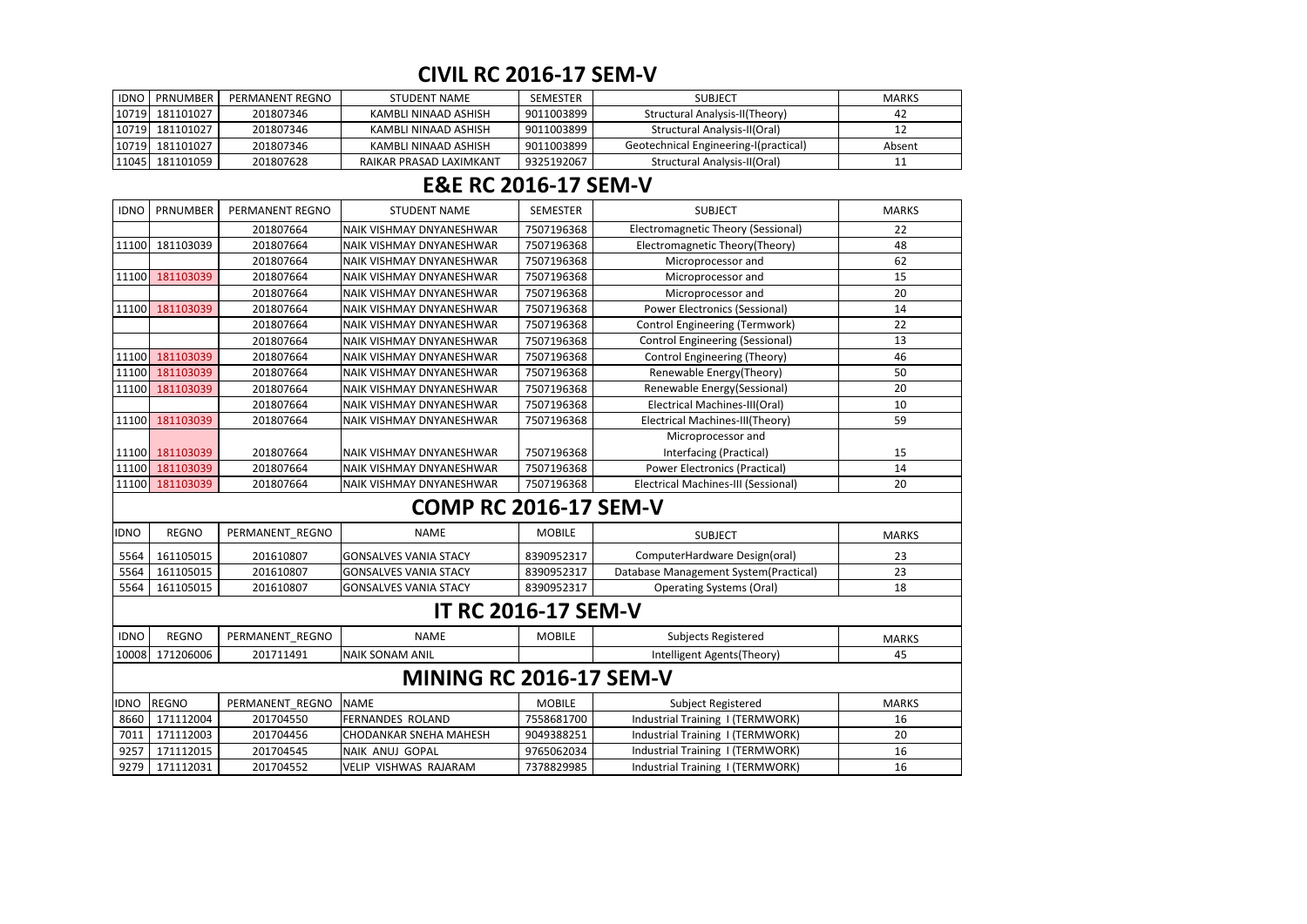| <b>IDNO</b> | <b>PRNUMBER I</b> | PERMANENT REGNO | <b>STUDENT NAME</b>     | SEMESTER   | <b>SUBJECT</b>                        | <b>MARKS</b> |
|-------------|-------------------|-----------------|-------------------------|------------|---------------------------------------|--------------|
|             | 10719  181101027  | 201807346       | KAMBLI NINAAD ASHISH    | 9011003899 | Structural Analysis-II(Theory)        | 42           |
|             | 10719  181101027  | 201807346       | KAMBLI NINAAD ASHISH    | 9011003899 | Structural Analysis-II(Oral)          |              |
|             | 10719  181101027  | 201807346       | KAMBLI NINAAD ASHISH    | 9011003899 | Geotechnical Engineering-I(practical) | Absent       |
|             | 11045  181101059  | 201807628       | RAIKAR PRASAD LAXIMKANT | 9325192067 | Structural Analysis-II(Oral)          |              |

| <b>IDNO</b> | PRNUMBER                | PERMANENT REGNO | <b>STUDENT NAME</b>          | <b>SEMESTER</b> | <b>SUBJECT</b>                             | <b>MARKS</b> |  |  |  |  |
|-------------|-------------------------|-----------------|------------------------------|-----------------|--------------------------------------------|--------------|--|--|--|--|
|             |                         | 201807664       | NAIK VISHMAY DNYANESHWAR     | 7507196368      | <b>Electromagnetic Theory (Sessional)</b>  | 22           |  |  |  |  |
| 11100       | 181103039               | 201807664       | NAIK VISHMAY DNYANESHWAR     | 7507196368      | Electromagnetic Theory(Theory)             | 48           |  |  |  |  |
|             |                         | 201807664       | NAIK VISHMAY DNYANESHWAR     | 7507196368      | Microprocessor and                         | 62           |  |  |  |  |
| 11100       | 181103039               | 201807664       | NAIK VISHMAY DNYANESHWAR     | 7507196368      | Microprocessor and                         | 15           |  |  |  |  |
|             |                         | 201807664       | NAIK VISHMAY DNYANESHWAR     | 7507196368      | Microprocessor and                         | 20           |  |  |  |  |
| 11100       | 181103039               | 201807664       | NAIK VISHMAY DNYANESHWAR     | 7507196368      | <b>Power Electronics (Sessional)</b>       | 14           |  |  |  |  |
|             |                         | 201807664       | NAIK VISHMAY DNYANESHWAR     | 7507196368      | <b>Control Engineering (Termwork)</b>      | 22           |  |  |  |  |
|             |                         | 201807664       | NAIK VISHMAY DNYANESHWAR     | 7507196368      | <b>Control Engineering (Sessional)</b>     | 13           |  |  |  |  |
| 11100       | 181103039               | 201807664       | NAIK VISHMAY DNYANESHWAR     | 7507196368      | Control Engineering (Theory)               | 46           |  |  |  |  |
| 11100       | 181103039               | 201807664       | NAIK VISHMAY DNYANESHWAR     | 7507196368      | Renewable Energy(Theory)                   | 50           |  |  |  |  |
| 11100       | 181103039               | 201807664       | NAIK VISHMAY DNYANESHWAR     | 7507196368      | Renewable Energy(Sessional)                | 20           |  |  |  |  |
|             |                         | 201807664       | NAIK VISHMAY DNYANESHWAR     | 7507196368      | Electrical Machines-III(Oral)              | 10           |  |  |  |  |
| 11100       | 181103039               | 201807664       | NAIK VISHMAY DNYANESHWAR     | 7507196368      | Electrical Machines-III(Theory)            | 59           |  |  |  |  |
|             |                         |                 |                              |                 | Microprocessor and                         |              |  |  |  |  |
| 11100       | 181103039               | 201807664       | NAIK VISHMAY DNYANESHWAR     | 7507196368      | Interfacing (Practical)                    | 15           |  |  |  |  |
| 11100       | 181103039               | 201807664       | NAIK VISHMAY DNYANESHWAR     | 7507196368      | <b>Power Electronics (Practical)</b>       | 14           |  |  |  |  |
|             | 11100 181103039         | 201807664       | NAIK VISHMAY DNYANESHWAR     | 7507196368      | <b>Electrical Machines-III (Sessional)</b> | 20           |  |  |  |  |
|             |                         |                 | <b>COMP RC 2016-17 SEM-V</b> |                 |                                            |              |  |  |  |  |
| <b>IDNO</b> | <b>REGNO</b>            | PERMANENT_REGNO | <b>NAME</b>                  | <b>MOBILE</b>   | <b>SUBJECT</b>                             | <b>MARKS</b> |  |  |  |  |
| 5564        | 161105015               | 201610807       | <b>GONSALVES VANIA STACY</b> | 8390952317      | ComputerHardware Design(oral)              | 23           |  |  |  |  |
| 5564        | 161105015               | 201610807       | <b>GONSALVES VANIA STACY</b> | 8390952317      | Database Management System(Practical)      | 23           |  |  |  |  |
| 5564        | 161105015               | 201610807       | <b>GONSALVES VANIA STACY</b> | 8390952317      | <b>Operating Systems (Oral)</b>            | 18           |  |  |  |  |
|             |                         |                 | <b>IT RC 2016-17 SEM-V</b>   |                 |                                            |              |  |  |  |  |
| <b>IDNO</b> | <b>REGNO</b>            | PERMANENT_REGNO | <b>NAME</b>                  | <b>MOBILE</b>   | Subjects Registered                        | <b>MARKS</b> |  |  |  |  |
| 10008       | 171206006               | 201711491       | <b>NAIK SONAM ANIL</b>       |                 | Intelligent Agents(Theory)                 | 45           |  |  |  |  |
|             | MINING RC 2016-17 SEM-V |                 |                              |                 |                                            |              |  |  |  |  |
| <b>IDNO</b> | <b>REGNO</b>            | PERMANENT_REGNO | <b>NAME</b>                  | <b>MOBILE</b>   | Subject Registered                         | <b>MARKS</b> |  |  |  |  |
| 8660        | 171112004               | 201704550       | <b>FERNANDES ROLAND</b>      | 7558681700      | Industrial Training I (TERMWORK)           | 16           |  |  |  |  |
| 7011        | 171112003               | 201704456       | CHODANKAR SNEHA MAHESH       | 9049388251      | Industrial Training I (TERMWORK)           | 20           |  |  |  |  |
| 9257        | 171112015               | 201704545       | NAIK ANUJ GOPAL              | 9765062034      | Industrial Training I (TERMWORK)           | 16           |  |  |  |  |
| 9279        | 171112031               | 201704552       | VELIP VISHWAS RAJARAM        | 7378829985      | Industrial Training I (TERMWORK)           | 16           |  |  |  |  |

# **CIVIL RC 2016-17 SEM-V**

## **E&E RC 2016-17 SEM-V**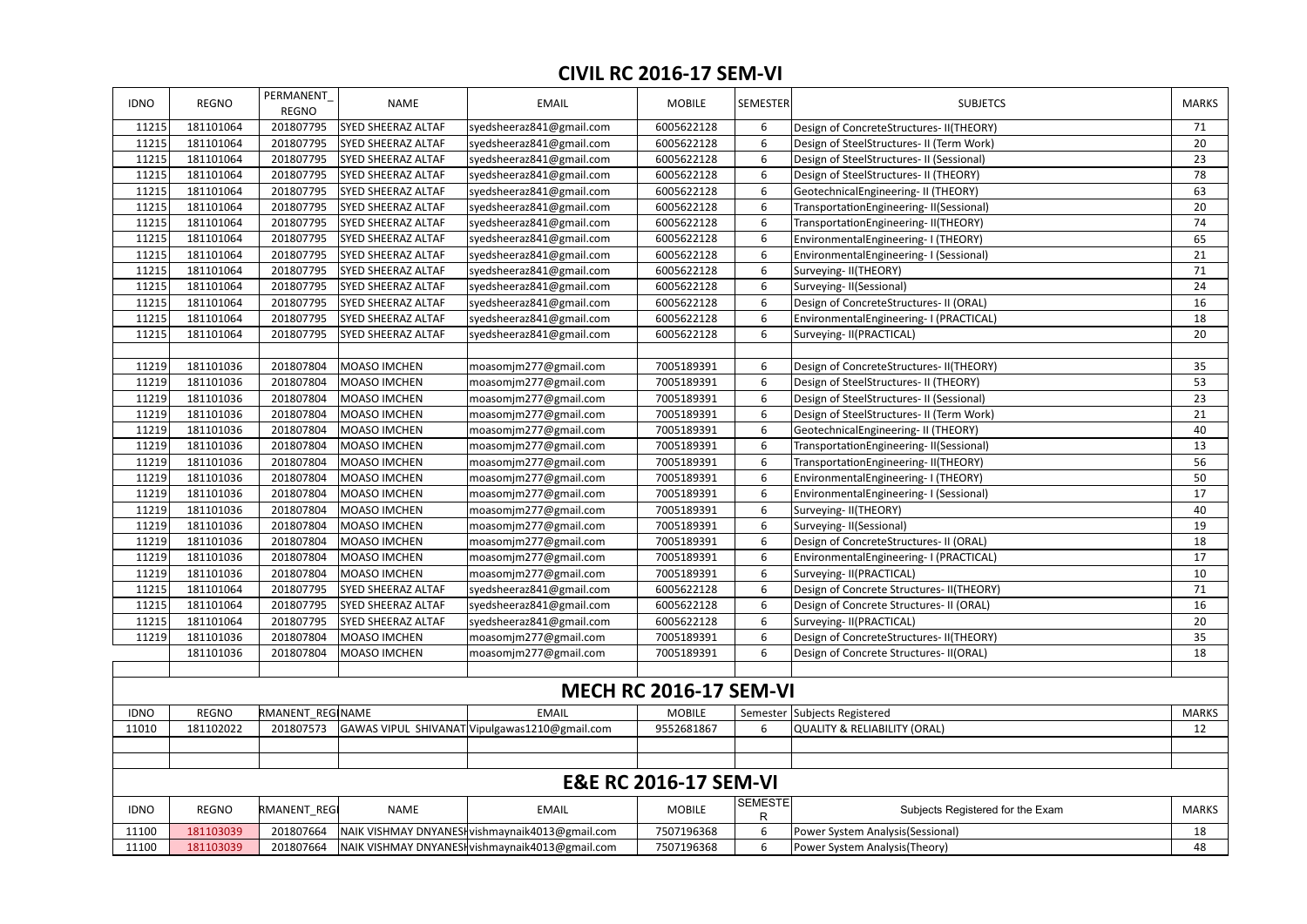| <b>IDNO</b>                      | REGNO                         | PERMANENT<br><b>REGNO</b> | NAME                      | <b>EMAIL</b>                                    | <b>MOBILE</b> | <b>SEMESTER</b>     | <b>SUBJETCS</b>                           | <b>MARKS</b> |  |  |  |
|----------------------------------|-------------------------------|---------------------------|---------------------------|-------------------------------------------------|---------------|---------------------|-------------------------------------------|--------------|--|--|--|
| 11215                            | 181101064                     | 201807795                 | <b>SYED SHEERAZ ALTAF</b> | syedsheeraz841@gmail.com                        | 6005622128    |                     | Design of ConcreteStructures-II(THEORY)   | 71           |  |  |  |
| 11215                            | 181101064                     | 201807795                 | <b>SYED SHEERAZ ALTAF</b> | syedsheeraz841@gmail.com                        | 6005622128    | 6                   | Design of SteelStructures- II (Term Work) | 20           |  |  |  |
| 11215                            | 181101064                     | 201807795                 | <b>SYED SHEERAZ ALTAF</b> | syedsheeraz841@gmail.com                        | 6005622128    |                     | Design of SteelStructures- II (Sessional) | 23           |  |  |  |
| 11215                            | 181101064                     | 201807795                 | <b>SYED SHEERAZ ALTAF</b> | syedsheeraz841@gmail.com                        | 6005622128    | 6                   | Design of SteelStructures- II (THEORY)    | 78           |  |  |  |
| 11215                            | 181101064                     | 201807795                 | <b>SYED SHEERAZ ALTAF</b> | syedsheeraz841@gmail.com                        | 6005622128    | 6                   | GeotechnicalEngineering-II (THEORY)       | 63           |  |  |  |
| 11215                            | 181101064                     | 201807795                 | <b>SYED SHEERAZ ALTAF</b> | syedsheeraz841@gmail.com                        | 6005622128    | 6                   | TransportationEngineering-II(Sessional)   | 20           |  |  |  |
| 11215                            | 181101064                     | 201807795                 | <b>SYED SHEERAZ ALTAF</b> | syedsheeraz841@gmail.com                        | 6005622128    | 6                   | TransportationEngineering-II(THEORY)      | 74           |  |  |  |
| 11215                            | 181101064                     | 201807795                 | <b>SYED SHEERAZ ALTAF</b> | syedsheeraz841@gmail.com                        | 6005622128    | 6                   | EnvironmentalEngineering-I (THEORY)       | 65           |  |  |  |
| 11215                            | 181101064                     | 201807795                 | SYED SHEERAZ ALTAF        | syedsheeraz841@gmail.com                        | 6005622128    | 6                   | EnvironmentalEngineering-I (Sessional)    | 21           |  |  |  |
| 11215                            | 181101064                     | 201807795                 | <b>SYED SHEERAZ ALTAF</b> | syedsheeraz841@gmail.com                        | 6005622128    | 6                   | Surveying-II(THEORY)                      | 71           |  |  |  |
| 11215                            | 181101064                     | 201807795                 | SYED SHEERAZ ALTAF        | syedsheeraz841@gmail.com                        | 6005622128    | 6                   | Surveying-II(Sessional)                   | 24           |  |  |  |
| 11215                            | 181101064                     | 201807795                 | <b>SYED SHEERAZ ALTAF</b> | syedsheeraz841@gmail.com                        | 6005622128    | 6                   | Design of ConcreteStructures- II (ORAL)   | 16           |  |  |  |
| 11215                            | 181101064                     | 201807795                 | <b>SYED SHEERAZ ALTAF</b> | syedsheeraz841@gmail.com                        | 6005622128    | 6                   | EnvironmentalEngineering- I (PRACTICAL)   | 18           |  |  |  |
| 11215                            | 181101064                     | 201807795                 | <b>SYED SHEERAZ ALTAF</b> | syedsheeraz841@gmail.com                        | 6005622128    | 6                   | Surveying-II(PRACTICAL)                   | 20           |  |  |  |
|                                  |                               |                           |                           |                                                 |               |                     |                                           |              |  |  |  |
| 11219                            | 181101036                     | 201807804                 | <b>MOASO IMCHEN</b>       | moasomjm277@gmail.com                           | 7005189391    | 6                   | Design of ConcreteStructures-II(THEORY)   | 35           |  |  |  |
| 11219                            | 181101036                     | 201807804                 | <b>MOASO IMCHEN</b>       | moasomjm277@gmail.com                           | 7005189391    | 6                   | Design of SteelStructures- II (THEORY)    | 53           |  |  |  |
| 11219                            | 181101036                     | 201807804                 | MOASO IMCHEN              | moasomjm277@gmail.com                           | 7005189391    | 6                   | Design of SteelStructures- II (Sessional) | 23           |  |  |  |
| 11219                            | 181101036                     | 201807804                 | <b>MOASO IMCHEN</b>       | moasomjm277@gmail.com                           | 7005189391    | 6                   | Design of SteelStructures- II (Term Work) | 21           |  |  |  |
| 11219                            | 181101036                     | 201807804                 | MOASO IMCHEN              | moasomjm277@gmail.com                           | 7005189391    | 6                   | GeotechnicalEngineering-II (THEORY)       | 40           |  |  |  |
| 11219                            | 181101036                     | 201807804                 | <b>MOASO IMCHEN</b>       | moasomjm277@gmail.com                           | 7005189391    | 6                   | TransportationEngineering-II(Sessional)   | 13           |  |  |  |
| 11219                            | 181101036                     | 201807804                 | <b>MOASO IMCHEN</b>       | moasomjm277@gmail.com                           | 7005189391    | 6                   | TransportationEngineering-II(THEORY)      | 56           |  |  |  |
| 11219                            | 181101036                     | 201807804                 | <b>MOASO IMCHEN</b>       | moasomjm277@gmail.com                           | 7005189391    | 6                   | EnvironmentalEngineering-I (THEORY)       | 50           |  |  |  |
| 11219                            | 181101036                     | 201807804                 | <b>MOASO IMCHEN</b>       | moasomjm277@gmail.com                           | 7005189391    |                     | EnvironmentalEngineering-I (Sessional)    | 17           |  |  |  |
| 11219                            | 181101036                     | 201807804                 | MOASO IMCHEN              | moasomjm277@gmail.com                           | 7005189391    | 6                   | Surveying-II(THEORY)                      | 40           |  |  |  |
| 11219                            | 181101036                     | 201807804                 | <b>MOASO IMCHEN</b>       | moasomjm277@gmail.com                           | 7005189391    | 6                   | Surveying-II(Sessional)                   | 19           |  |  |  |
| 11219                            | 181101036                     | 201807804                 | MOASO IMCHEN              | moasomjm277@gmail.com                           | 7005189391    |                     | Design of ConcreteStructures- II (ORAL)   | 18           |  |  |  |
| 11219                            | 181101036                     | 201807804                 | MOASO IMCHEN              | moasomjm277@gmail.com                           | 7005189391    |                     | EnvironmentalEngineering-I (PRACTICAL)    | 17           |  |  |  |
| 11219                            | 181101036                     | 201807804                 | MOASO IMCHEN              | moasomjm277@gmail.com                           | 7005189391    |                     | Surveying-II(PRACTICAL)                   | 10           |  |  |  |
| 11215                            | 181101064                     | 201807795                 | <b>SYED SHEERAZ ALTAF</b> | syedsheeraz841@gmail.com                        | 6005622128    | 6                   | Design of Concrete Structures-II(THEORY)  | 71           |  |  |  |
| 11215                            | 181101064                     | 201807795                 | <b>SYED SHEERAZ ALTAF</b> | syedsheeraz841@gmail.com                        | 6005622128    | 6                   | Design of Concrete Structures- II (ORAL)  | 16           |  |  |  |
| 11215                            | 181101064                     | 201807795                 | <b>SYED SHEERAZ ALTAF</b> | syedsheeraz841@gmail.com                        | 6005622128    | 6                   | Surveying-II(PRACTICAL)                   | 20           |  |  |  |
| 11219                            | 181101036                     | 201807804                 | MOASO IMCHEN              | moasomjm277@gmail.com                           | 7005189391    | 6                   | Design of ConcreteStructures-II(THEORY)   | 35           |  |  |  |
|                                  | 181101036                     | 201807804                 | MOASO IMCHEN              | moasomjm277@gmail.com                           | 7005189391    | 6                   | Design of Concrete Structures-II(ORAL)    | 18           |  |  |  |
|                                  |                               |                           |                           |                                                 |               |                     |                                           |              |  |  |  |
|                                  | <b>MECH RC 2016-17 SEM-VI</b> |                           |                           |                                                 |               |                     |                                           |              |  |  |  |
| <b>IDNO</b>                      | REGNO                         | RMANENT REGINAME          |                           | <b>EMAIL</b>                                    | <b>MOBILE</b> |                     | Semester Subjects Registered              | <b>MARKS</b> |  |  |  |
| 11010                            | 181102022                     | 201807573                 |                           | GAWAS VIPUL SHIVANAT Vipulgawas1210@gmail.com   | 9552681867    | 6                   | <b>QUALITY &amp; RELIABILITY (ORAL)</b>   | 12           |  |  |  |
|                                  |                               |                           |                           |                                                 |               |                     |                                           |              |  |  |  |
|                                  |                               |                           |                           |                                                 |               |                     |                                           |              |  |  |  |
| <b>E&amp;E RC 2016-17 SEM-VI</b> |                               |                           |                           |                                                 |               |                     |                                           |              |  |  |  |
| <b>IDNO</b>                      | REGNO                         | RMANENT_REGI              | NAME                      | <b>EMAIL</b>                                    | <b>MOBILE</b> | <b>SEMESTE</b><br>R | Subjects Registered for the Exam          | <b>MARKS</b> |  |  |  |
| 11100                            | 181103039                     | 201807664                 |                           | NAIK VISHMAY DNYANESHvishmaynaik4013@gmail.com  | 7507196368    | 6                   | Power System Analysis (Sessional)         | 18           |  |  |  |
| 11100                            | 181103039                     | 201807664                 |                           | NAIK VISHMAY DNYANESH vishmaynaik4013@gmail.com | 7507196368    | 6                   | Power System Analysis(Theory)             | 48           |  |  |  |
|                                  |                               |                           |                           |                                                 |               |                     |                                           |              |  |  |  |

## **CIVIL RC 2016-17 SEM-VI**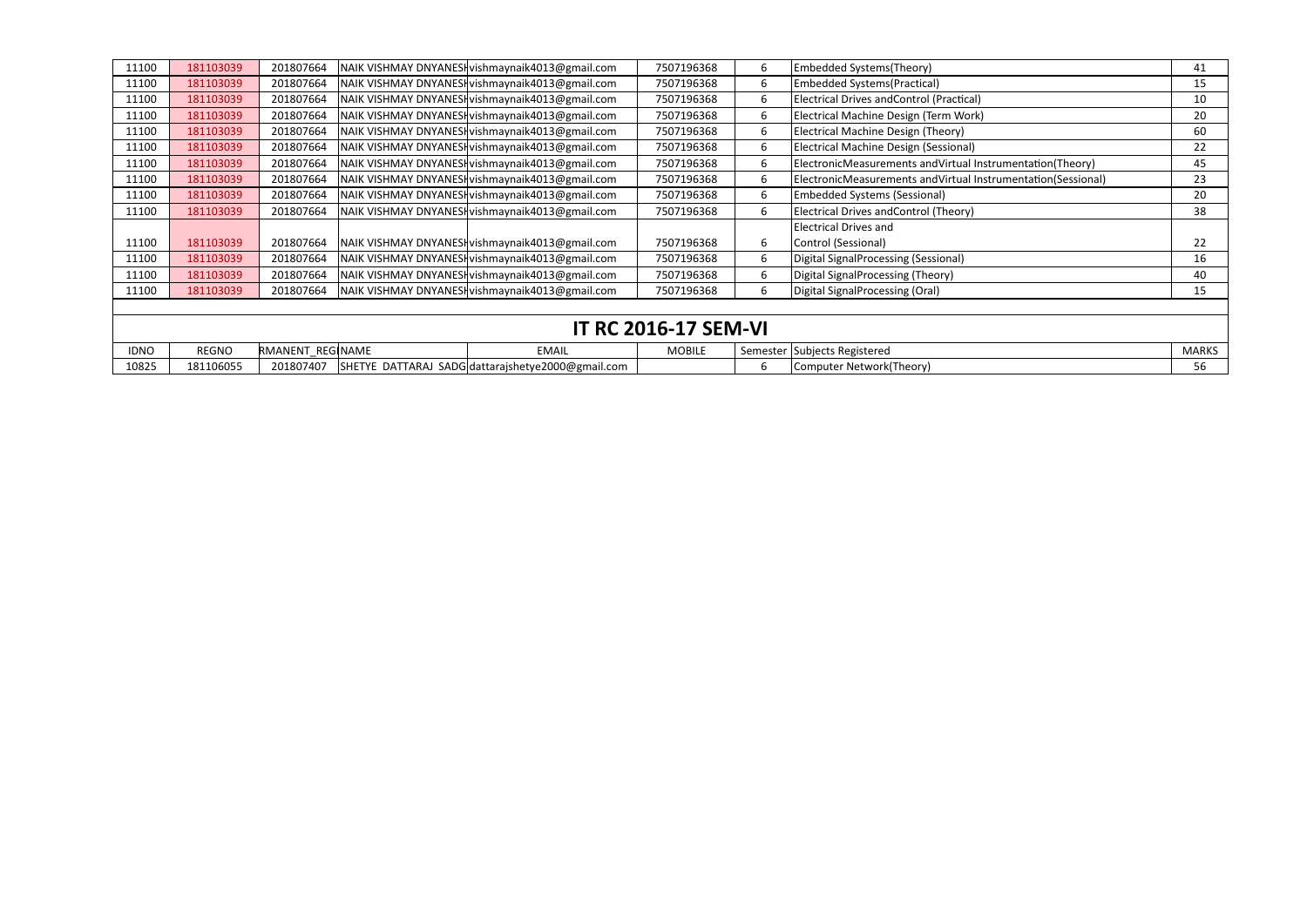| 11100                       | 181103039 | 201807664        |  | NAIK VISHMAY DNYANESI vishmaynaik4013@gmail.com   | 7507196368    | 6. | Embedded Systems(Theory)                                     | 41           |  |  |  |
|-----------------------------|-----------|------------------|--|---------------------------------------------------|---------------|----|--------------------------------------------------------------|--------------|--|--|--|
| 11100                       | 181103039 | 201807664        |  | NAIK VISHMAY DNYANESHvishmaynaik4013@gmail.com    | 7507196368    | 6  | <b>Embedded Systems (Practical)</b>                          | 15           |  |  |  |
| 11100                       | 181103039 | 201807664        |  | NAIK VISHMAY DNYANESHvishmaynaik4013@gmail.com    | 7507196368    | 6. | Electrical Drives and Control (Practical)                    | 10           |  |  |  |
| 11100                       | 181103039 | 201807664        |  | NAIK VISHMAY DNYANESI vishmaynaik4013@gmail.com   | 7507196368    | 6. | Electrical Machine Design (Term Work)                        | 20           |  |  |  |
| 11100                       | 181103039 | 201807664        |  | NAIK VISHMAY DNYANESHvishmaynaik4013@gmail.com    | 7507196368    | 6  | Electrical Machine Design (Theory)                           | 60           |  |  |  |
| 11100                       | 181103039 | 201807664        |  | NAIK VISHMAY DNYANESHvishmaynaik4013@gmail.com    | 7507196368    | 6. | <b>Electrical Machine Design (Sessional)</b>                 | 22           |  |  |  |
| 11100                       | 181103039 | 201807664        |  | NAIK VISHMAY DNYANESI vishmaynaik4013@gmail.com   | 7507196368    | 6. | ElectronicMeasurements andVirtual Instrumentation(Theory)    | 45           |  |  |  |
| 11100                       | 181103039 | 201807664        |  | NAIK VISHMAY DNYANESHvishmaynaik4013@gmail.com    | 7507196368    | b  | ElectronicMeasurements andVirtual Instrumentation(Sessional) | 23           |  |  |  |
| 11100                       | 181103039 | 201807664        |  | NAIK VISHMAY DNYANESI vishmaynaik4013@gmail.com   | 7507196368    | 6. | <b>Embedded Systems (Sessional)</b>                          | 20           |  |  |  |
| 11100                       | 181103039 | 201807664        |  | NAIK VISHMAY DNYANESHvishmaynaik4013@gmail.com    | 7507196368    | 6. | Electrical Drives andControl (Theory)                        | 38           |  |  |  |
|                             |           |                  |  |                                                   |               |    | <b>Electrical Drives and</b>                                 |              |  |  |  |
| 11100                       | 181103039 | 201807664        |  | NAIK VISHMAY DNYANESHvishmaynaik4013@gmail.com    | 7507196368    | 6. | Control (Sessional)                                          | 22           |  |  |  |
| 11100                       | 181103039 | 201807664        |  | NAIK VISHMAY DNYANESHvishmaynaik4013@gmail.com    | 7507196368    | 6. | Digital SignalProcessing (Sessional)                         | 16           |  |  |  |
| 11100                       | 181103039 | 201807664        |  | NAIK VISHMAY DNYANESHvishmaynaik4013@gmail.com    | 7507196368    | 6. | Digital SignalProcessing (Theory)                            | 40           |  |  |  |
| 11100                       | 181103039 | 201807664        |  | NAIK VISHMAY DNYANESHvishmaynaik4013@gmail.com    | 7507196368    | 6. | Digital SignalProcessing (Oral)                              | 15           |  |  |  |
|                             |           |                  |  |                                                   |               |    |                                                              |              |  |  |  |
| <b>IT RC 2016-17 SEM-VI</b> |           |                  |  |                                                   |               |    |                                                              |              |  |  |  |
| <b>IDNO</b>                 | REGNO     | RMANENT REGINAME |  | <b>EMAIL</b>                                      | <b>MOBILE</b> |    | Semester Subjects Registered                                 | <b>MARKS</b> |  |  |  |
| 10825                       | 181106055 | 201807407        |  | SHETYE DATTARAJ SADG dattarajshetye2000@gmail.com |               | 6. | Computer Network(Theory)                                     | 56           |  |  |  |

|            |              |           |          | <b>IT RC 2016-17 SEM-VI</b>                       |               |  |                               |  |
|------------|--------------|-----------|----------|---------------------------------------------------|---------------|--|-------------------------------|--|
| <b>DNO</b> | <b>REGNO</b> | RMANENT   | REGINAME | <b>EMAIL</b>                                      | <b>MOBILE</b> |  | Semester (Subjects Registered |  |
| 10825      | 181106055    | 201807407 |          | SHETYE DATTARAJ SADG dattarajshetye2000@gmail.com |               |  | Computer Network(Theory)      |  |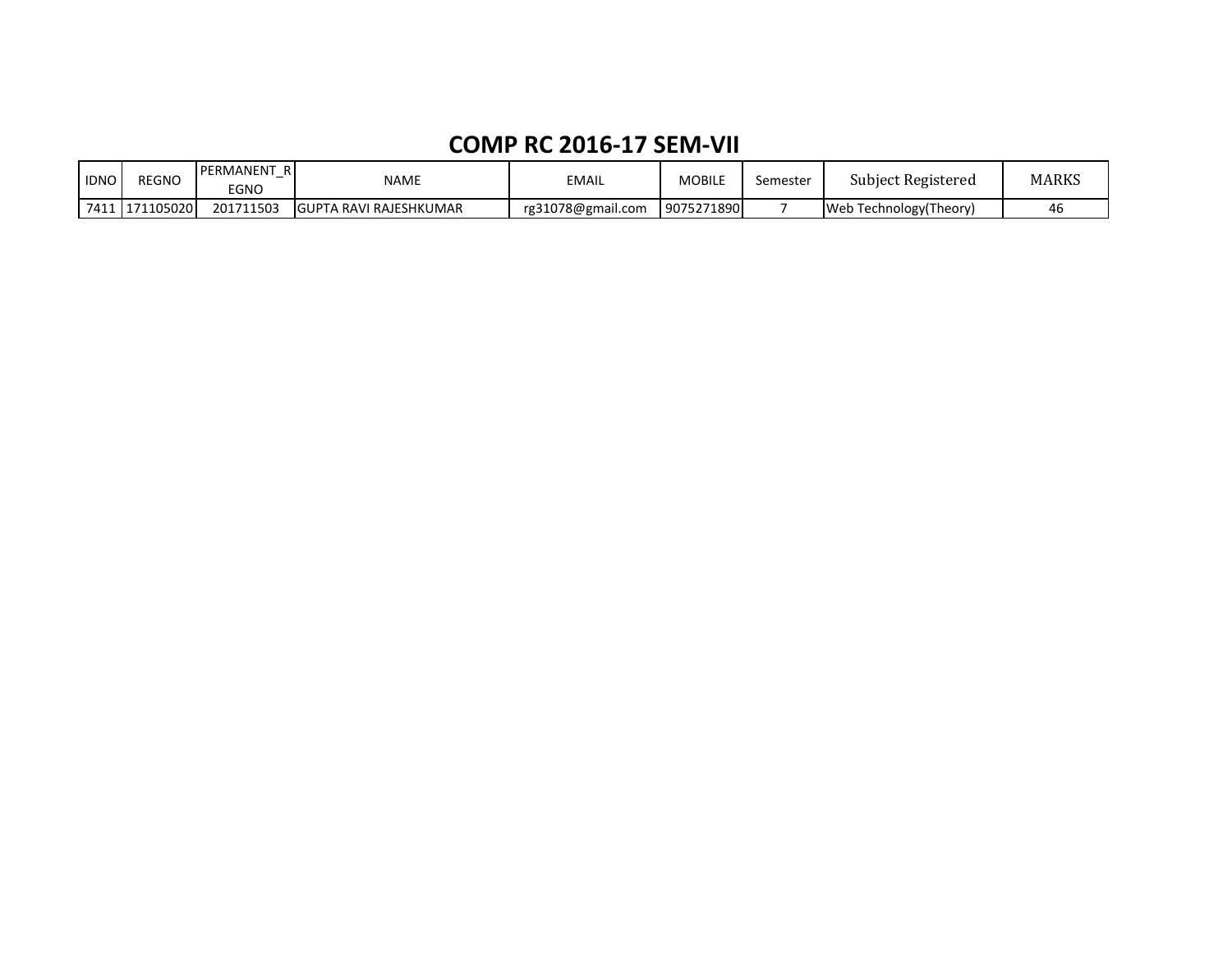### **COMP RC 2016-17 SEM-VII**

| <b>IDNO</b> | <b>REGNO</b> | PERMANENT<br>R<br>EGNO | <b>NAME</b>                    | <b>EMAIL</b>      | MOBILE     | semester | Subject Registered      | MARKS |
|-------------|--------------|------------------------|--------------------------------|-------------------|------------|----------|-------------------------|-------|
| 7411        | 1711050201   | 1711503<br>2017        | <b>IGUPTA RAVI RAJESHKUMAR</b> | rg31078@gmail.com | 9075271890 |          | Web Technology (Theory) | 4t    |